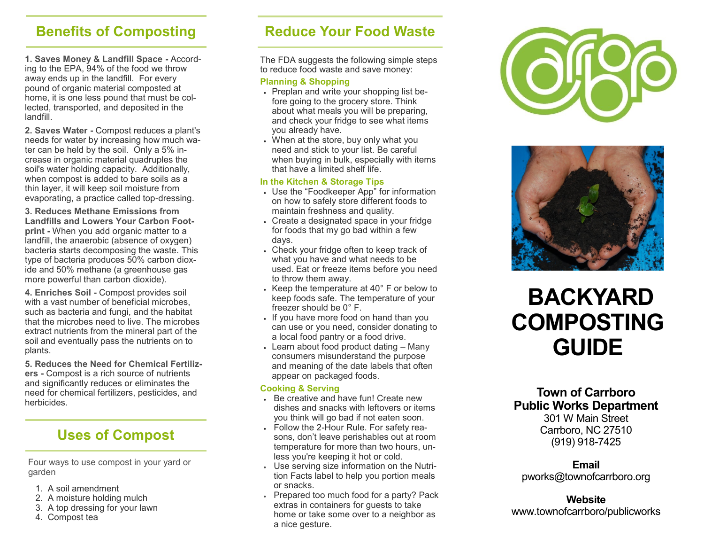### **Benefits of Composting**

**1. Saves Money & Landfill Space -** According to the EPA, 94% of the food we throw away ends up in the landfill. For every pound of organic material composted at home, it is one less pound that must be collected, transported, and deposited in the landfill.

**2. Saves Water -** Compost reduces a plant's needs for water by increasing how much water can be held by the soil. Only a 5% increase in organic material quadruples the soil's water holding capacity. Additionally, when compost is added to bare soils as a thin layer, it will keep soil moisture from evaporating, a practice called top -dressing.

**3. Reduces Methane Emissions from Landfills and Lowers Your Carbon Footprint -** When you add organic matter to a landfill, the anaerobic (absence of oxygen) bacteria starts decomposing the waste. This type of bacteria produces 50% carbon dioxide and 50% methane (a greenhouse gas more powerful than carbon dioxide).

**4. Enriches Soil -** Compost provides soil with a vast number of beneficial microbes, such as bacteria and fungi, and the habitat that the microbes need to live. The microbes extract nutrients from the mineral part of the soil and eventually pass the nutrients on to plants.

**5. Reduces the Need for Chemical Fertilizers -** Compost is a rich source of nutrients and significantly reduces or eliminates the need for chemical fertilizers, pesticides, and herbicides.

# **Uses of Compost**

Four ways to use compost in your yard or garden

- 1. A soil amendment
- 2. A moisture holding mulch
- 3. A top dressing for your lawn
- 4. Compost tea

# **Reduce Your Food Waste**

The FDA suggests the following simple steps to reduce food waste and save money:

#### **Planning & Shopping**

- Preplan and write your shopping list before going to the grocery store. Think about what meals you will be preparing, and check your fridge to see what items you already have.
- When at the store, buy only what you need and stick to your list. Be careful when buying in bulk, especially with items that have a limited shelf life.

#### **In the Kitchen & Storage Tips**

- Use the "Foodkeeper App" for information on how to safely store different foods to maintain freshness and quality.
- Create a designated space in your fridge for foods that my go bad within a few days.
- Check your fridge often to keep track of what you have and what needs to be used. Eat or freeze items before you need to throw them away.
- $\cdot$  Keep the temperature at 40 $\degree$  F or below to keep foods safe. The temperature of your freezer should be 0° F.
- If you have more food on hand than you can use or you need, consider donating to a local food pantry or a food drive.
- Learn about food product dating Many consumers misunderstand the purpose and meaning of the date labels that often appear on packaged foods.

#### **Cooking & Serving**

- Be creative and have fun! Create new dishes and snacks with leftovers or items you think will go bad if not eaten soon.
- Follow the 2 -Hour Rule. For safety reasons, don't leave perishables out at room temperature for more than two hours, unless you're keeping it hot or cold.
- Use serving size information on the Nutrition Facts label to help you portion meals or snacks.
- Prepared too much food for a party? Pack extras in containers for guests to take home or take some over to a neighbor as a nice gesture.





# **BACKYARD COMPOSTING GUIDE**

#### **Town of Carrboro Public Works Department**

301 W Main Street Carrboro, NC 27510 (919) 918 -7425

#### **Email**

pworks@townofcarrboro.org

#### **Website**

www.townofcarrboro/publicworks